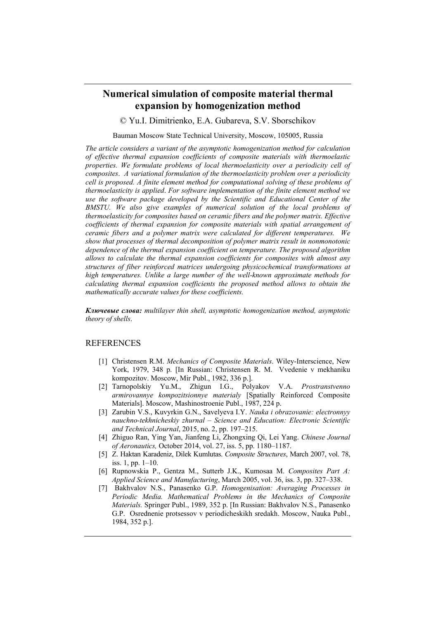## **Numerical simulation of composite material thermal expansion by homogenization method**

© Yu.I. Dimitrienko, E.A. Gubareva, S.V. Sborschikov

Bauman Moscow State Technical University, Moscow, 105005, Russia

*The article considers a variant of the asymptotic homogenization method for calculation of effective thermal expansion coefficients of composite materials with thermoelastic properties. We formulate problems of local thermoelasticity over a periodicity cell of composites*. *A variational formulation of the thermoelasticity problem over a periodicity cell is proposed. A finite element method for computational solving of these problems of thermoelasticity is applied*. *For software implementation of the finite element method we use the software package developed by the Scientific and Educational Center of the BMSTU. We also give examples of numerical solution of the local problems of thermoelasticity for composites based on ceramic fibers and the polymer matrix. Effective coefficients of thermal expansion for composite materials with spatial arrangement of ceramic fibers and a polymer matrix were calculated for different temperatures. We show that processes of thermal decomposition of polymer matrix result in nonmonotonic dependence of the thermal expansion coefficient on temperature. The proposed algorithm allows to calculate the thermal expansion coefficients for composites with almost any structures of fiber reinforced matrices undergoing physicochemical transformations at high temperatures. Unlike a large number of the well-known approximate methods for calculating thermal expansion coefficients the proposed method allows to obtain the mathematically accurate values for these coefficients.* 

*Ключевые слова: multilayer thin shell, asymptotic homogenization method, asymptotic theory of shells*.

## REFERENCES

- [1] Christensen R.M. *Mechanics of Composite Materials*. Wiley-Interscience, New York, 1979, 348 p. [In Russian: Christensen R. M. Vvedenie v mekhaniku kompozitov. Moscow, Mir Publ., 1982, 336 p.].
- [2] Tarnopolskiy Yu.M., Zhigun I.G., Polyakov V.A. *Prostranstvenno armirovannye kompozitsionnye materialy* [Spatially Reinforced Composite Materials]. Moscow, Mashinostroenie Publ., 1987, 224 p.
- [3] Zarubin V.S., Kuvyrkin G.N., Savelyeva I.Y. *Nauka i obrazovanie: electronnyy nauchno-tekhnicheskiy zhurnal – Science and Education: Electronic Scientific and Technical Journal*, 2015, no. 2, pp. 197–215.
- [4] Zhiguo Ran, Ying Yan, Jianfeng Li, Zhongxing Qi, Lei Yang. *Chinese Journal of Aeronautics,* October 2014, vol. 27, iss. 5, pp. 1180–1187.
- [5] Z. Haktan Karadeniz, Dilek Kumlutas. *Composite Structures*, March 2007, vol. 78, iss. 1, pp. 1–10.
- [6] Rupnowskia P., Gentza M., Sutterb J.K., Kumosaa M. *Composites Part A: Applied Science and Manufacturing*, March 2005, vol. 36, iss. 3, pp. 327–338.
- [7] Bakhvalov N.S., Panasenko G.P. *Homogenisation: Averaging Processes in Periodic Media. Mathematical Problems in the Mechanics of Composite Materials.* Springer Publ., 1989, 352 p. [In Russian: Bakhvalov N.S., Panasenko G.P. Osrednenie protsessov v periodicheskikh sredakh. Moscow, Nauka Publ., 1984, 352 p.].